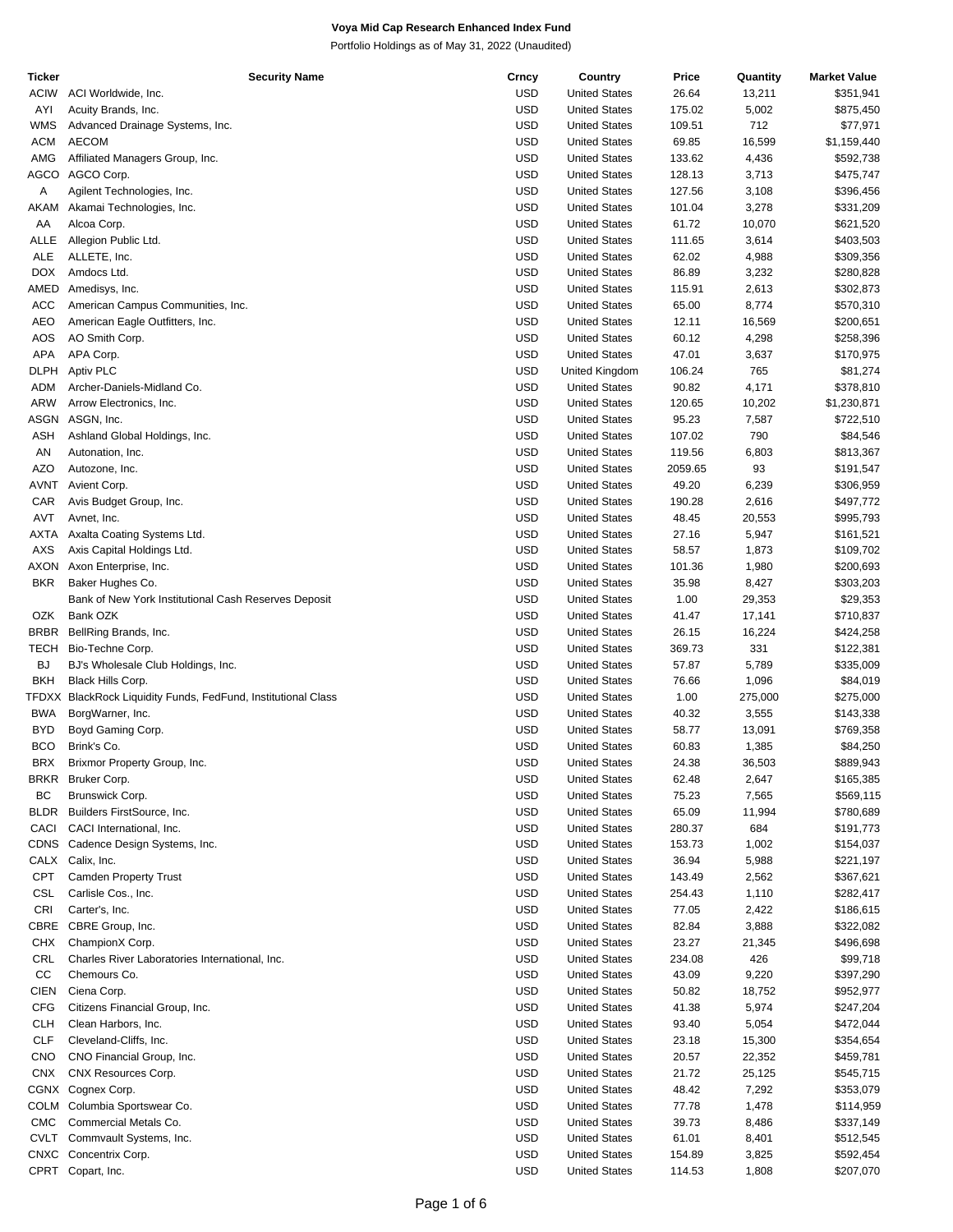| Ticker      | <b>Security Name</b>                                          | Crncy      | Country              | Price   | Quantity | <b>Market Value</b> |
|-------------|---------------------------------------------------------------|------------|----------------------|---------|----------|---------------------|
| <b>ACIW</b> | ACI Worldwide, Inc.                                           | <b>USD</b> | <b>United States</b> | 26.64   | 13,211   | \$351,941           |
| AYI         | Acuity Brands, Inc.                                           | <b>USD</b> | <b>United States</b> | 175.02  | 5,002    | \$875,450           |
| <b>WMS</b>  | Advanced Drainage Systems, Inc.                               | <b>USD</b> | <b>United States</b> | 109.51  | 712      | \$77,971            |
|             |                                                               |            |                      |         |          |                     |
| <b>ACM</b>  | <b>AECOM</b>                                                  | <b>USD</b> | <b>United States</b> | 69.85   | 16,599   | \$1,159,440         |
| AMG         | Affiliated Managers Group, Inc.                               | <b>USD</b> | <b>United States</b> | 133.62  | 4,436    | \$592,738           |
| <b>AGCO</b> | AGCO Corp.                                                    | <b>USD</b> | <b>United States</b> | 128.13  | 3,713    | \$475,747           |
| Α           | Agilent Technologies, Inc.                                    | <b>USD</b> | <b>United States</b> | 127.56  | 3,108    | \$396,456           |
| AKAM        | Akamai Technologies, Inc.                                     | <b>USD</b> | <b>United States</b> | 101.04  | 3,278    | \$331,209           |
| AA          | Alcoa Corp.                                                   | <b>USD</b> | <b>United States</b> | 61.72   | 10,070   | \$621,520           |
| ALLE        |                                                               | <b>USD</b> | <b>United States</b> | 111.65  |          |                     |
|             | Allegion Public Ltd.                                          |            |                      |         | 3,614    | \$403,503           |
| <b>ALE</b>  | ALLETE, Inc.                                                  | <b>USD</b> | <b>United States</b> | 62.02   | 4,988    | \$309,356           |
| DOX.        | Amdocs Ltd.                                                   | <b>USD</b> | <b>United States</b> | 86.89   | 3,232    | \$280,828           |
| AMED        | Amedisys, Inc.                                                | <b>USD</b> | <b>United States</b> | 115.91  | 2,613    | \$302,873           |
| <b>ACC</b>  | American Campus Communities, Inc.                             | <b>USD</b> | <b>United States</b> | 65.00   | 8,774    | \$570,310           |
| <b>AEO</b>  | American Eagle Outfitters, Inc.                               | <b>USD</b> | <b>United States</b> | 12.11   | 16,569   | \$200,651           |
| AOS         | AO Smith Corp.                                                | <b>USD</b> | <b>United States</b> | 60.12   | 4,298    | \$258,396           |
| APA         |                                                               | <b>USD</b> |                      |         |          |                     |
|             | APA Corp.                                                     |            | <b>United States</b> | 47.01   | 3,637    | \$170,975           |
| <b>DLPH</b> | Aptiv PLC                                                     | <b>USD</b> | United Kingdom       | 106.24  | 765      | \$81,274            |
| ADM         | Archer-Daniels-Midland Co.                                    | <b>USD</b> | <b>United States</b> | 90.82   | 4,171    | \$378,810           |
| ARW         | Arrow Electronics, Inc.                                       | <b>USD</b> | <b>United States</b> | 120.65  | 10,202   | \$1,230,871         |
| <b>ASGN</b> | ASGN, Inc.                                                    | <b>USD</b> | <b>United States</b> | 95.23   | 7,587    | \$722,510           |
| ASH         | Ashland Global Holdings, Inc.                                 | <b>USD</b> | <b>United States</b> | 107.02  | 790      | \$84,546            |
| AN          | Autonation, Inc.                                              | <b>USD</b> | <b>United States</b> | 119.56  | 6,803    | \$813,367           |
|             |                                                               |            |                      |         |          |                     |
| AZO         | Autozone, Inc.                                                | <b>USD</b> | <b>United States</b> | 2059.65 | 93       | \$191,547           |
| AVNT        | Avient Corp.                                                  | <b>USD</b> | <b>United States</b> | 49.20   | 6,239    | \$306,959           |
| CAR         | Avis Budget Group, Inc.                                       | <b>USD</b> | <b>United States</b> | 190.28  | 2,616    | \$497,772           |
| AVT         | Avnet, Inc.                                                   | <b>USD</b> | <b>United States</b> | 48.45   | 20,553   | \$995,793           |
| AXTA        | Axalta Coating Systems Ltd.                                   | <b>USD</b> | <b>United States</b> | 27.16   | 5,947    | \$161,521           |
| AXS         | Axis Capital Holdings Ltd.                                    | <b>USD</b> | <b>United States</b> | 58.57   | 1,873    | \$109,702           |
| <b>AXON</b> |                                                               | <b>USD</b> | <b>United States</b> | 101.36  |          |                     |
|             | Axon Enterprise, Inc.                                         |            |                      |         | 1,980    | \$200,693           |
| <b>BKR</b>  | Baker Hughes Co.                                              | <b>USD</b> | <b>United States</b> | 35.98   | 8,427    | \$303,203           |
|             | Bank of New York Institutional Cash Reserves Deposit          | <b>USD</b> | <b>United States</b> | 1.00    | 29,353   | \$29,353            |
| OZK         | Bank OZK                                                      | <b>USD</b> | <b>United States</b> | 41.47   | 17,141   | \$710,837           |
| <b>BRBR</b> | BellRing Brands, Inc.                                         | <b>USD</b> | <b>United States</b> | 26.15   | 16,224   | \$424,258           |
| <b>TECH</b> | Bio-Techne Corp.                                              | <b>USD</b> | <b>United States</b> | 369.73  | 331      | \$122,381           |
| <b>BJ</b>   | BJ's Wholesale Club Holdings, Inc.                            | <b>USD</b> | <b>United States</b> | 57.87   | 5,789    | \$335,009           |
|             |                                                               |            |                      |         |          |                     |
| <b>BKH</b>  | Black Hills Corp.                                             | <b>USD</b> | <b>United States</b> | 76.66   | 1,096    | \$84,019            |
|             | TFDXX BlackRock Liquidity Funds, FedFund, Institutional Class | <b>USD</b> | <b>United States</b> | 1.00    | 275,000  | \$275,000           |
| <b>BWA</b>  | BorgWarner, Inc.                                              | <b>USD</b> | <b>United States</b> | 40.32   | 3,555    | \$143,338           |
| BYD         | Boyd Gaming Corp.                                             | <b>USD</b> | <b>United States</b> | 58.77   | 13,091   | \$769,358           |
| <b>BCO</b>  | Brink's Co.                                                   | <b>USD</b> | <b>United States</b> | 60.83   | 1,385    | \$84,250            |
| <b>BRX</b>  | Brixmor Property Group, Inc.                                  | <b>USD</b> | <b>United States</b> | 24.38   | 36,503   | \$889,943           |
| BRKR        | Bruker Corp.                                                  | <b>USD</b> | <b>United States</b> |         | 2,647    | \$165,385           |
|             |                                                               |            |                      | 62.48   |          |                     |
| BC          | Brunswick Corp.                                               | <b>USD</b> | <b>United States</b> | 75.23   | 7,565    | \$569,115           |
| <b>BLDR</b> | Builders FirstSource, Inc.                                    | <b>USD</b> | <b>United States</b> | 65.09   | 11,994   | \$780,689           |
| CACI        | CACI International, Inc.                                      | <b>USD</b> | <b>United States</b> | 280.37  | 684      | \$191,773           |
|             | CDNS Cadence Design Systems, Inc.                             | <b>USD</b> | <b>United States</b> | 153.73  | 1,002    | \$154,037           |
|             | CALX Calix, Inc.                                              | <b>USD</b> | <b>United States</b> | 36.94   | 5,988    | \$221,197           |
| <b>CPT</b>  | <b>Camden Property Trust</b>                                  | <b>USD</b> | <b>United States</b> | 143.49  | 2,562    | \$367,621           |
|             |                                                               |            |                      |         |          |                     |
| <b>CSL</b>  | Carlisle Cos., Inc.                                           | <b>USD</b> | <b>United States</b> | 254.43  | 1,110    | \$282,417           |
| <b>CRI</b>  | Carter's, Inc.                                                | <b>USD</b> | <b>United States</b> | 77.05   | 2,422    | \$186,615           |
| CBRE        | CBRE Group, Inc.                                              | <b>USD</b> | <b>United States</b> | 82.84   | 3,888    | \$322,082           |
| <b>CHX</b>  | ChampionX Corp.                                               | USD        | <b>United States</b> | 23.27   | 21,345   | \$496,698           |
| CRL         | Charles River Laboratories International, Inc.                | <b>USD</b> | <b>United States</b> | 234.08  | 426      | \$99,718            |
| CC          | Chemours Co.                                                  | <b>USD</b> | <b>United States</b> | 43.09   | 9,220    | \$397,290           |
|             |                                                               |            |                      |         |          |                     |
| <b>CIEN</b> | Ciena Corp.                                                   | <b>USD</b> | <b>United States</b> | 50.82   | 18,752   | \$952,977           |
| <b>CFG</b>  | Citizens Financial Group, Inc.                                | <b>USD</b> | <b>United States</b> | 41.38   | 5,974    | \$247,204           |
| <b>CLH</b>  | Clean Harbors, Inc.                                           | <b>USD</b> | <b>United States</b> | 93.40   | 5,054    | \$472,044           |
| <b>CLF</b>  | Cleveland-Cliffs, Inc.                                        | <b>USD</b> | <b>United States</b> | 23.18   | 15,300   | \$354,654           |
| <b>CNO</b>  | CNO Financial Group, Inc.                                     | <b>USD</b> | <b>United States</b> | 20.57   | 22,352   | \$459,781           |
| <b>CNX</b>  | CNX Resources Corp.                                           | USD        | <b>United States</b> | 21.72   | 25,125   | \$545,715           |
|             |                                                               |            |                      |         |          |                     |
|             | CGNX Cognex Corp.                                             | <b>USD</b> | <b>United States</b> | 48.42   | 7,292    | \$353,079           |
|             | COLM Columbia Sportswear Co.                                  | <b>USD</b> | <b>United States</b> | 77.78   | 1,478    | \$114,959           |
| <b>CMC</b>  | Commercial Metals Co.                                         | <b>USD</b> | <b>United States</b> | 39.73   | 8,486    | \$337,149           |
| <b>CVLT</b> | Commvault Systems, Inc.                                       | <b>USD</b> | <b>United States</b> | 61.01   | 8,401    | \$512,545           |
|             | CNXC Concentrix Corp.                                         | <b>USD</b> | <b>United States</b> | 154.89  | 3,825    | \$592,454           |
|             | CPRT Copart, Inc.                                             | <b>USD</b> | <b>United States</b> | 114.53  | 1,808    | \$207,070           |
|             |                                                               |            |                      |         |          |                     |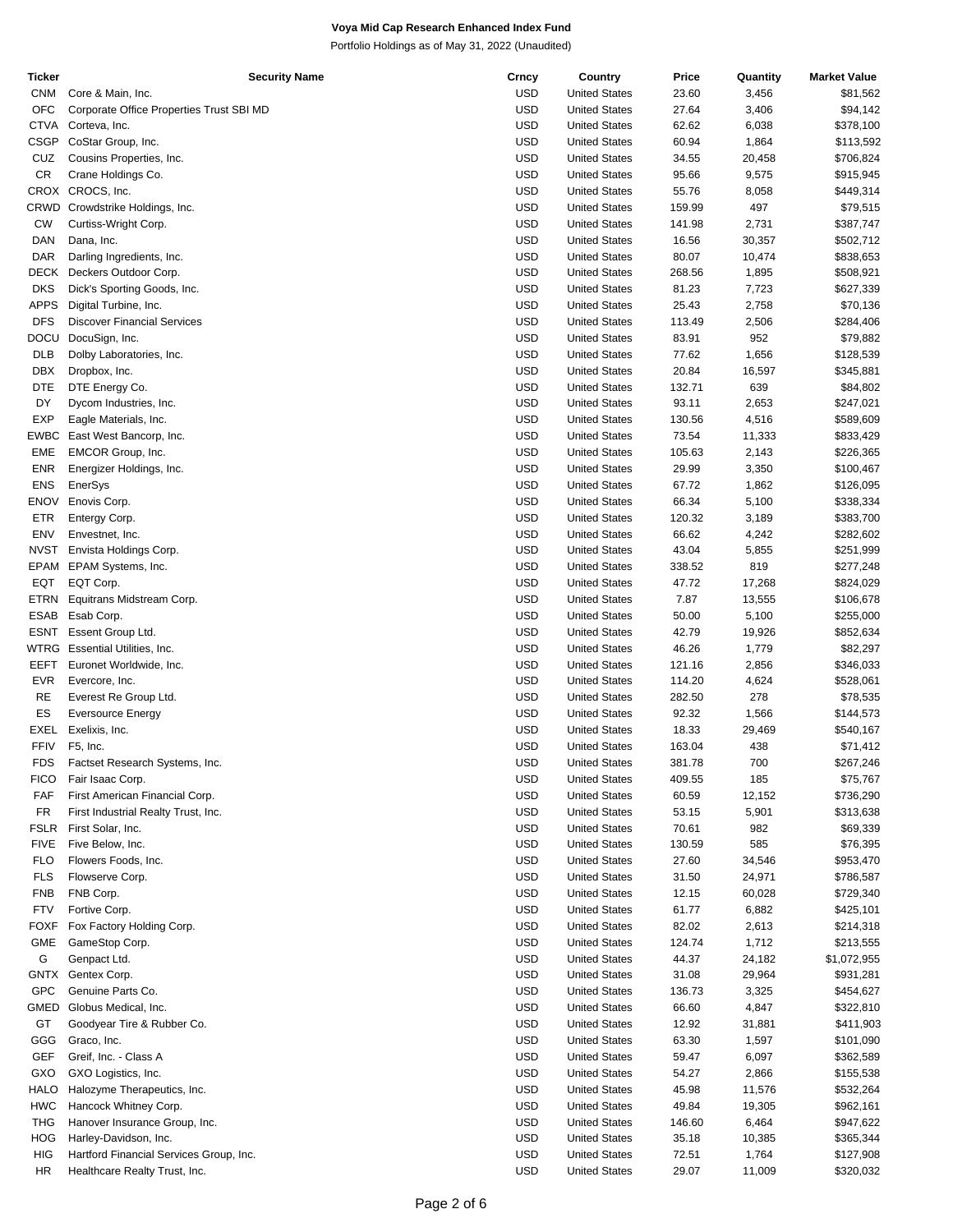| Ticker      | <b>Security Name</b>                     | Crncy      | Country              | Price  | Quantity | <b>Market Value</b> |
|-------------|------------------------------------------|------------|----------------------|--------|----------|---------------------|
| <b>CNM</b>  | Core & Main, Inc.                        | <b>USD</b> | <b>United States</b> | 23.60  | 3,456    | \$81,562            |
| <b>OFC</b>  | Corporate Office Properties Trust SBI MD | <b>USD</b> | <b>United States</b> | 27.64  | 3,406    | \$94,142            |
| <b>CTVA</b> | Corteva, Inc.                            | <b>USD</b> | <b>United States</b> | 62.62  | 6,038    | \$378,100           |
| <b>CSGP</b> | CoStar Group, Inc.                       | <b>USD</b> | <b>United States</b> | 60.94  | 1,864    | \$113,592           |
|             |                                          |            |                      |        |          |                     |
| CUZ         | Cousins Properties, Inc.                 | USD        | <b>United States</b> | 34.55  | 20,458   | \$706,824           |
| <b>CR</b>   | Crane Holdings Co.                       | <b>USD</b> | <b>United States</b> | 95.66  | 9,575    | \$915,945           |
|             | CROX CROCS, Inc.                         | <b>USD</b> | <b>United States</b> | 55.76  | 8,058    | \$449,314           |
| CRWD        | Crowdstrike Holdings, Inc.               | USD        | <b>United States</b> | 159.99 | 497      | \$79,515            |
| CW          | Curtiss-Wright Corp.                     | USD        | <b>United States</b> | 141.98 | 2,731    | \$387,747           |
| <b>DAN</b>  | Dana, Inc.                               | <b>USD</b> | <b>United States</b> | 16.56  | 30,357   | \$502,712           |
| DAR         | Darling Ingredients, Inc.                | <b>USD</b> | <b>United States</b> | 80.07  | 10,474   | \$838,653           |
|             |                                          |            |                      |        |          |                     |
| <b>DECK</b> | Deckers Outdoor Corp.                    | <b>USD</b> | <b>United States</b> | 268.56 | 1,895    | \$508,921           |
| <b>DKS</b>  | Dick's Sporting Goods, Inc.              | USD        | <b>United States</b> | 81.23  | 7,723    | \$627,339           |
| <b>APPS</b> | Digital Turbine, Inc.                    | USD        | <b>United States</b> | 25.43  | 2,758    | \$70,136            |
| <b>DFS</b>  | <b>Discover Financial Services</b>       | <b>USD</b> | <b>United States</b> | 113.49 | 2,506    | \$284,406           |
| DOCU        | DocuSign, Inc.                           | USD        | <b>United States</b> | 83.91  | 952      | \$79,882            |
| <b>DLB</b>  | Dolby Laboratories, Inc.                 | USD        | <b>United States</b> | 77.62  | 1,656    | \$128,539           |
| DBX         | Dropbox, Inc.                            | USD        | <b>United States</b> | 20.84  | 16,597   | \$345,881           |
|             |                                          |            |                      |        |          |                     |
| <b>DTE</b>  | DTE Energy Co.                           | <b>USD</b> | <b>United States</b> | 132.71 | 639      | \$84,802            |
| DY          | Dycom Industries, Inc.                   | <b>USD</b> | <b>United States</b> | 93.11  | 2,653    | \$247,021           |
| <b>EXP</b>  | Eagle Materials, Inc.                    | USD        | <b>United States</b> | 130.56 | 4,516    | \$589,609           |
| EWBC        | East West Bancorp, Inc.                  | USD        | <b>United States</b> | 73.54  | 11,333   | \$833,429           |
| EME         | EMCOR Group, Inc.                        | <b>USD</b> | <b>United States</b> | 105.63 | 2,143    | \$226,365           |
| <b>ENR</b>  | Energizer Holdings, Inc.                 | USD        | <b>United States</b> | 29.99  | 3,350    | \$100,467           |
| <b>ENS</b>  | EnerSys                                  | USD        | <b>United States</b> | 67.72  | 1,862    | \$126,095           |
|             |                                          |            |                      |        |          |                     |
| <b>ENOV</b> | Enovis Corp.                             | USD        | <b>United States</b> | 66.34  | 5,100    | \$338,334           |
| <b>ETR</b>  | Entergy Corp.                            | <b>USD</b> | <b>United States</b> | 120.32 | 3,189    | \$383,700           |
| ENV         | Envestnet, Inc.                          | <b>USD</b> | <b>United States</b> | 66.62  | 4,242    | \$282,602           |
| <b>NVST</b> | Envista Holdings Corp.                   | USD        | <b>United States</b> | 43.04  | 5,855    | \$251,999           |
| EPAM        | EPAM Systems, Inc.                       | USD        | <b>United States</b> | 338.52 | 819      | \$277,248           |
| EQT         | EQT Corp.                                | <b>USD</b> | <b>United States</b> | 47.72  | 17,268   | \$824,029           |
| <b>ETRN</b> | Equitrans Midstream Corp.                | USD        | <b>United States</b> | 7.87   | 13,555   | \$106,678           |
|             |                                          |            |                      |        |          |                     |
| <b>ESAB</b> | Esab Corp.                               | <b>USD</b> | <b>United States</b> | 50.00  | 5,100    | \$255,000           |
| <b>ESNT</b> | Essent Group Ltd.                        | USD        | <b>United States</b> | 42.79  | 19,926   | \$852,634           |
| <b>WTRG</b> | Essential Utilities, Inc.                | <b>USD</b> | <b>United States</b> | 46.26  | 1,779    | \$82,297            |
| EEFT        | Euronet Worldwide, Inc.                  | <b>USD</b> | <b>United States</b> | 121.16 | 2,856    | \$346,033           |
| <b>EVR</b>  | Evercore, Inc.                           | <b>USD</b> | <b>United States</b> | 114.20 | 4,624    | \$528,061           |
| <b>RE</b>   | Everest Re Group Ltd.                    | USD        | <b>United States</b> | 282.50 | 278      | \$78,535            |
| ES          | <b>Eversource Energy</b>                 | <b>USD</b> | <b>United States</b> | 92.32  | 1,566    | \$144,573           |
|             |                                          |            |                      |        |          |                     |
| EXEL        | Exelixis, Inc.                           | USD        | <b>United States</b> | 18.33  | 29,469   | \$540,167           |
| <b>FFIV</b> | F5, Inc.                                 | USD        | <b>United States</b> | 163.04 | 438      | \$71,412            |
| <b>FDS</b>  | Factset Research Systems, Inc.           | USD        | <b>United States</b> | 381.78 | 700      | \$267,246           |
| <b>FICO</b> | Fair Isaac Corp.                         | <b>USD</b> | <b>United States</b> | 409.55 | 185      | \$75,767            |
| FAF         | First American Financial Corp.           | USD        | <b>United States</b> | 60.59  | 12,152   | \$736,290           |
| <b>FR</b>   | First Industrial Realty Trust, Inc.      | <b>USD</b> | <b>United States</b> | 53.15  | 5,901    | \$313,638           |
| <b>FSLR</b> | First Solar, Inc.                        | <b>USD</b> | <b>United States</b> | 70.61  | 982      | \$69,339            |
|             |                                          |            |                      |        |          |                     |
| <b>FIVE</b> | Five Below, Inc.                         | <b>USD</b> | <b>United States</b> | 130.59 | 585      | \$76,395            |
| <b>FLO</b>  | Flowers Foods, Inc.                      | USD        | <b>United States</b> | 27.60  | 34,546   | \$953,470           |
| <b>FLS</b>  | Flowserve Corp.                          | <b>USD</b> | <b>United States</b> | 31.50  | 24,971   | \$786,587           |
| <b>FNB</b>  | FNB Corp.                                | <b>USD</b> | <b>United States</b> | 12.15  | 60,028   | \$729,340           |
| <b>FTV</b>  | Fortive Corp.                            | <b>USD</b> | <b>United States</b> | 61.77  | 6,882    | \$425,101           |
| <b>FOXF</b> | Fox Factory Holding Corp.                | USD        | <b>United States</b> | 82.02  | 2,613    | \$214,318           |
|             |                                          |            |                      |        |          |                     |
| <b>GME</b>  | GameStop Corp.                           | <b>USD</b> | <b>United States</b> | 124.74 | 1,712    | \$213,555           |
| G           | Genpact Ltd.                             | <b>USD</b> | <b>United States</b> | 44.37  | 24,182   | \$1,072,955         |
| GNTX        | Gentex Corp.                             | <b>USD</b> | <b>United States</b> | 31.08  | 29,964   | \$931,281           |
| <b>GPC</b>  | Genuine Parts Co.                        | USD        | <b>United States</b> | 136.73 | 3,325    | \$454,627           |
| GMED        | Globus Medical, Inc.                     | <b>USD</b> | <b>United States</b> | 66.60  | 4,847    | \$322,810           |
| GT          | Goodyear Tire & Rubber Co.               | USD        | <b>United States</b> | 12.92  | 31,881   | \$411,903           |
| GGG         | Graco, Inc.                              | <b>USD</b> | <b>United States</b> | 63.30  | 1,597    | \$101,090           |
|             |                                          |            |                      |        |          |                     |
| <b>GEF</b>  | Greif, Inc. - Class A                    | <b>USD</b> | <b>United States</b> | 59.47  | 6,097    | \$362,589           |
| GXO         | GXO Logistics, Inc.                      | <b>USD</b> | <b>United States</b> | 54.27  | 2,866    | \$155,538           |
| HALO        | Halozyme Therapeutics, Inc.              | USD        | <b>United States</b> | 45.98  | 11,576   | \$532,264           |
| <b>HWC</b>  | Hancock Whitney Corp.                    | <b>USD</b> | <b>United States</b> | 49.84  | 19,305   | \$962,161           |
| THG         | Hanover Insurance Group, Inc.            | USD        | <b>United States</b> | 146.60 | 6,464    | \$947,622           |
| HOG         | Harley-Davidson, Inc.                    | <b>USD</b> | <b>United States</b> | 35.18  | 10,385   | \$365,344           |
| HIG         | Hartford Financial Services Group, Inc.  | USD        | <b>United States</b> | 72.51  | 1,764    | \$127,908           |
|             |                                          |            |                      |        |          |                     |
| <b>HR</b>   | Healthcare Realty Trust, Inc.            | <b>USD</b> | <b>United States</b> | 29.07  | 11,009   | \$320,032           |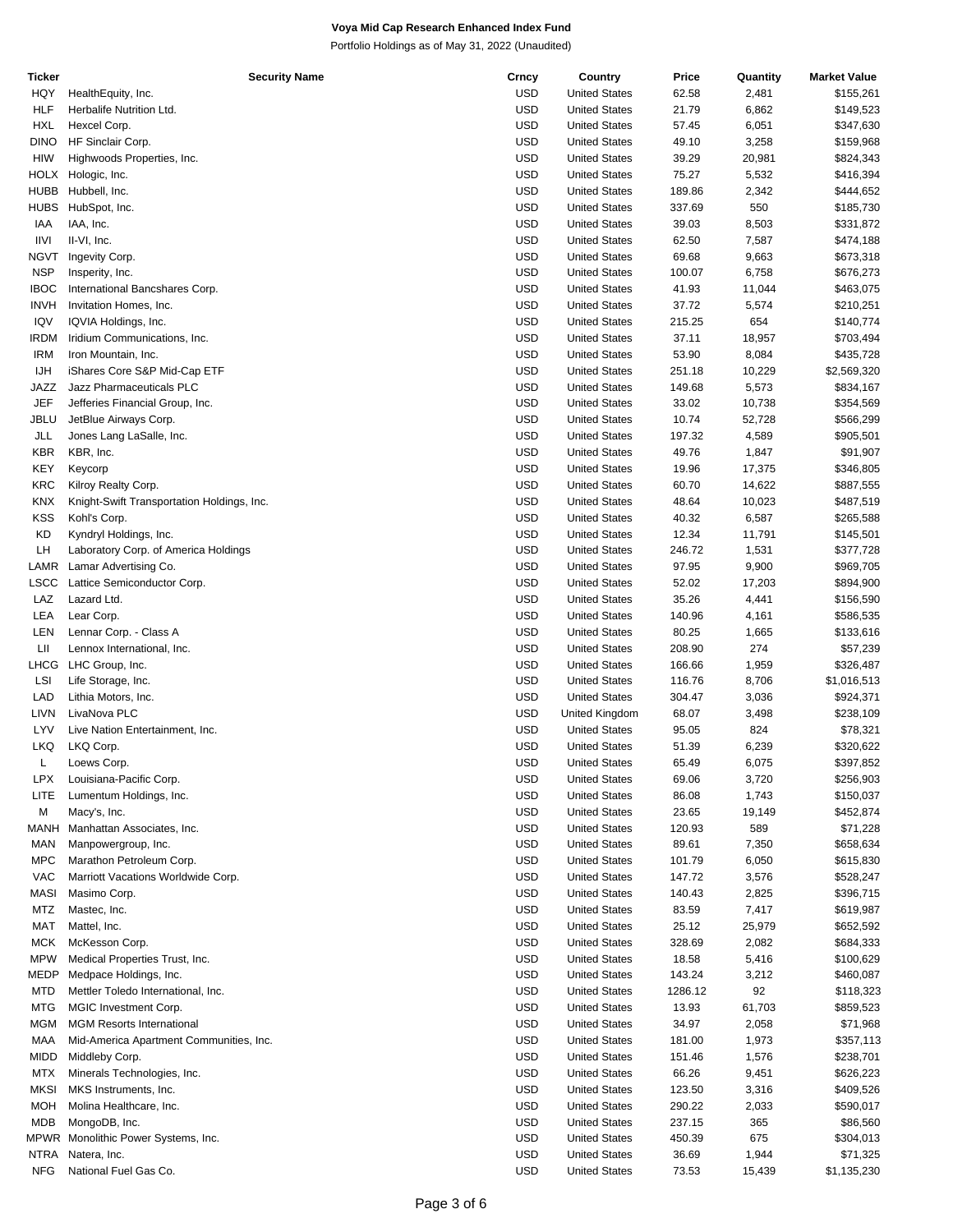| Ticker      | <b>Security Name</b>                       | Crncy      | Country              | Price   | Quantity | <b>Market Value</b> |
|-------------|--------------------------------------------|------------|----------------------|---------|----------|---------------------|
| HQY         | HealthEquity, Inc.                         | <b>USD</b> | <b>United States</b> | 62.58   | 2,481    | \$155,261           |
| <b>HLF</b>  | Herbalife Nutrition Ltd.                   | <b>USD</b> | <b>United States</b> | 21.79   | 6,862    | \$149,523           |
| <b>HXL</b>  | Hexcel Corp.                               | <b>USD</b> | <b>United States</b> | 57.45   | 6,051    | \$347,630           |
| <b>DINO</b> | HF Sinclair Corp.                          | <b>USD</b> | <b>United States</b> | 49.10   | 3,258    | \$159,968           |
| HIW         | Highwoods Properties, Inc.                 | USD        | <b>United States</b> | 39.29   | 20,981   | \$824,343           |
|             |                                            |            |                      |         |          |                     |
| <b>HOLX</b> | Hologic, Inc.                              | <b>USD</b> | <b>United States</b> | 75.27   | 5,532    | \$416,394           |
| <b>HUBB</b> | Hubbell, Inc.                              | <b>USD</b> | <b>United States</b> | 189.86  | 2,342    | \$444,652           |
| <b>HUBS</b> | HubSpot, Inc.                              | <b>USD</b> | <b>United States</b> | 337.69  | 550      | \$185,730           |
| IAA         | IAA, Inc.                                  | <b>USD</b> | <b>United States</b> | 39.03   | 8,503    | \$331,872           |
| <b>IIVI</b> | II-VI, Inc.                                | <b>USD</b> | <b>United States</b> | 62.50   | 7,587    | \$474,188           |
| NGVT        | Ingevity Corp.                             | <b>USD</b> | <b>United States</b> | 69.68   | 9,663    | \$673,318           |
| <b>NSP</b>  | Insperity, Inc.                            | <b>USD</b> | <b>United States</b> | 100.07  | 6,758    | \$676,273           |
| <b>IBOC</b> | International Bancshares Corp.             | <b>USD</b> | <b>United States</b> | 41.93   | 11,044   | \$463,075           |
| <b>INVH</b> |                                            | <b>USD</b> |                      |         |          |                     |
|             | Invitation Homes, Inc.                     |            | <b>United States</b> | 37.72   | 5,574    | \$210,251           |
| IQV         | IQVIA Holdings, Inc.                       | <b>USD</b> | <b>United States</b> | 215.25  | 654      | \$140,774           |
| <b>IRDM</b> | Iridium Communications, Inc.               | <b>USD</b> | <b>United States</b> | 37.11   | 18,957   | \$703,494           |
| IRM         | Iron Mountain, Inc.                        | <b>USD</b> | <b>United States</b> | 53.90   | 8,084    | \$435,728           |
| <b>IJH</b>  | iShares Core S&P Mid-Cap ETF               | <b>USD</b> | <b>United States</b> | 251.18  | 10,229   | \$2,569,320         |
| JAZZ        | Jazz Pharmaceuticals PLC                   | <b>USD</b> | <b>United States</b> | 149.68  | 5,573    | \$834,167           |
| <b>JEF</b>  | Jefferies Financial Group, Inc.            | <b>USD</b> | <b>United States</b> | 33.02   | 10,738   | \$354,569           |
| JBLU        | JetBlue Airways Corp.                      | <b>USD</b> | <b>United States</b> | 10.74   | 52,728   | \$566,299           |
| JLL         | Jones Lang LaSalle, Inc.                   | <b>USD</b> | <b>United States</b> | 197.32  | 4,589    | \$905,501           |
|             |                                            |            |                      |         |          |                     |
| KBR         | KBR, Inc.                                  | <b>USD</b> | <b>United States</b> | 49.76   | 1,847    | \$91,907            |
| <b>KEY</b>  | Keycorp                                    | <b>USD</b> | <b>United States</b> | 19.96   | 17,375   | \$346,805           |
| <b>KRC</b>  | Kilroy Realty Corp.                        | <b>USD</b> | <b>United States</b> | 60.70   | 14,622   | \$887,555           |
| <b>KNX</b>  | Knight-Swift Transportation Holdings, Inc. | <b>USD</b> | <b>United States</b> | 48.64   | 10,023   | \$487,519           |
| <b>KSS</b>  | Kohl's Corp.                               | <b>USD</b> | <b>United States</b> | 40.32   | 6,587    | \$265,588           |
| KD          | Kyndryl Holdings, Inc.                     | <b>USD</b> | <b>United States</b> | 12.34   | 11,791   | \$145,501           |
| LH          | Laboratory Corp. of America Holdings       | <b>USD</b> | <b>United States</b> | 246.72  | 1,531    | \$377,728           |
|             |                                            |            |                      |         |          |                     |
| LAMR        | Lamar Advertising Co.                      | <b>USD</b> | <b>United States</b> | 97.95   | 9,900    | \$969,705           |
| LSCC        | Lattice Semiconductor Corp.                | <b>USD</b> | <b>United States</b> | 52.02   | 17,203   | \$894,900           |
| LAZ         | Lazard Ltd.                                | <b>USD</b> | <b>United States</b> | 35.26   | 4,441    | \$156,590           |
| LEA         | Lear Corp.                                 | <b>USD</b> | <b>United States</b> | 140.96  | 4,161    | \$586,535           |
| LEN         | Lennar Corp. - Class A                     | <b>USD</b> | <b>United States</b> | 80.25   | 1,665    | \$133,616           |
| LШ          | Lennox International, Inc.                 | <b>USD</b> | <b>United States</b> | 208.90  | 274      | \$57,239            |
| LHCG        | LHC Group, Inc.                            | <b>USD</b> | <b>United States</b> | 166.66  | 1,959    | \$326,487           |
| LSI         | Life Storage, Inc.                         | <b>USD</b> | <b>United States</b> | 116.76  | 8,706    | \$1,016,513         |
| LAD         | Lithia Motors, Inc.                        | <b>USD</b> | <b>United States</b> | 304.47  | 3,036    |                     |
|             |                                            |            |                      |         |          | \$924,371           |
| LIVN        | LivaNova PLC                               | <b>USD</b> | United Kingdom       | 68.07   | 3,498    | \$238,109           |
| LYV         | Live Nation Entertainment, Inc.            | <b>USD</b> | <b>United States</b> | 95.05   | 824      | \$78,321            |
| <b>LKQ</b>  | LKQ Corp.                                  | USD        | <b>United States</b> | 51.39   | 6,239    | \$320,622           |
| L           | Loews Corp.                                | <b>USD</b> | <b>United States</b> | 65.49   | 6,075    | \$397,852           |
| <b>LPX</b>  | Louisiana-Pacific Corp.                    | <b>USD</b> | <b>United States</b> | 69.06   | 3,720    | \$256,903           |
| LITE        | Lumentum Holdings, Inc.                    | <b>USD</b> | <b>United States</b> | 86.08   | 1,743    | \$150,037           |
| M           | Macy's, Inc.                               | <b>USD</b> | <b>United States</b> | 23.65   | 19,149   | \$452,874           |
| MANH        | Manhattan Associates, Inc.                 | <b>USD</b> | <b>United States</b> | 120.93  | 589      | \$71,228            |
|             |                                            |            |                      |         |          |                     |
| MAN         | Manpowergroup, Inc.                        | <b>USD</b> | <b>United States</b> | 89.61   | 7,350    | \$658,634           |
| MPC         | Marathon Petroleum Corp.                   | <b>USD</b> | <b>United States</b> | 101.79  | 6,050    | \$615,830           |
| <b>VAC</b>  | Marriott Vacations Worldwide Corp.         | <b>USD</b> | <b>United States</b> | 147.72  | 3,576    | \$528,247           |
| <b>MASI</b> | Masimo Corp.                               | <b>USD</b> | <b>United States</b> | 140.43  | 2,825    | \$396,715           |
| MTZ         | Mastec, Inc.                               | <b>USD</b> | <b>United States</b> | 83.59   | 7,417    | \$619,987           |
| <b>MAT</b>  | Mattel, Inc.                               | <b>USD</b> | <b>United States</b> | 25.12   | 25,979   | \$652,592           |
| <b>MCK</b>  | McKesson Corp.                             | <b>USD</b> | <b>United States</b> | 328.69  | 2,082    | \$684,333           |
| <b>MPW</b>  | Medical Properties Trust, Inc.             | <b>USD</b> | <b>United States</b> | 18.58   | 5,416    | \$100,629           |
|             |                                            | <b>USD</b> |                      |         |          |                     |
| MEDP        | Medpace Holdings, Inc.                     |            | <b>United States</b> | 143.24  | 3,212    | \$460,087           |
| <b>MTD</b>  | Mettler Toledo International, Inc.         | <b>USD</b> | <b>United States</b> | 1286.12 | 92       | \$118,323           |
| MTG         | MGIC Investment Corp.                      | <b>USD</b> | <b>United States</b> | 13.93   | 61,703   | \$859,523           |
| <b>MGM</b>  | <b>MGM Resorts International</b>           | <b>USD</b> | <b>United States</b> | 34.97   | 2,058    | \$71,968            |
| MAA         | Mid-America Apartment Communities, Inc.    | <b>USD</b> | <b>United States</b> | 181.00  | 1,973    | \$357,113           |
| <b>MIDD</b> | Middleby Corp.                             | <b>USD</b> | <b>United States</b> | 151.46  | 1,576    | \$238,701           |
| MTX         | Minerals Technologies, Inc.                | <b>USD</b> | <b>United States</b> | 66.26   | 9,451    | \$626,223           |
| <b>MKSI</b> | MKS Instruments, Inc.                      | <b>USD</b> | <b>United States</b> | 123.50  | 3,316    | \$409,526           |
|             |                                            | <b>USD</b> |                      |         |          |                     |
| MOH         | Molina Healthcare, Inc.                    |            | <b>United States</b> | 290.22  | 2,033    | \$590,017           |
| <b>MDB</b>  | MongoDB, Inc.                              | <b>USD</b> | <b>United States</b> | 237.15  | 365      | \$86,560            |
|             | MPWR Monolithic Power Systems, Inc.        | <b>USD</b> | <b>United States</b> | 450.39  | 675      | \$304,013           |
| NTRA        | Natera, Inc.                               | <b>USD</b> | <b>United States</b> | 36.69   | 1,944    | \$71,325            |
| <b>NFG</b>  | National Fuel Gas Co.                      | <b>USD</b> | <b>United States</b> | 73.53   | 15,439   | \$1,135,230         |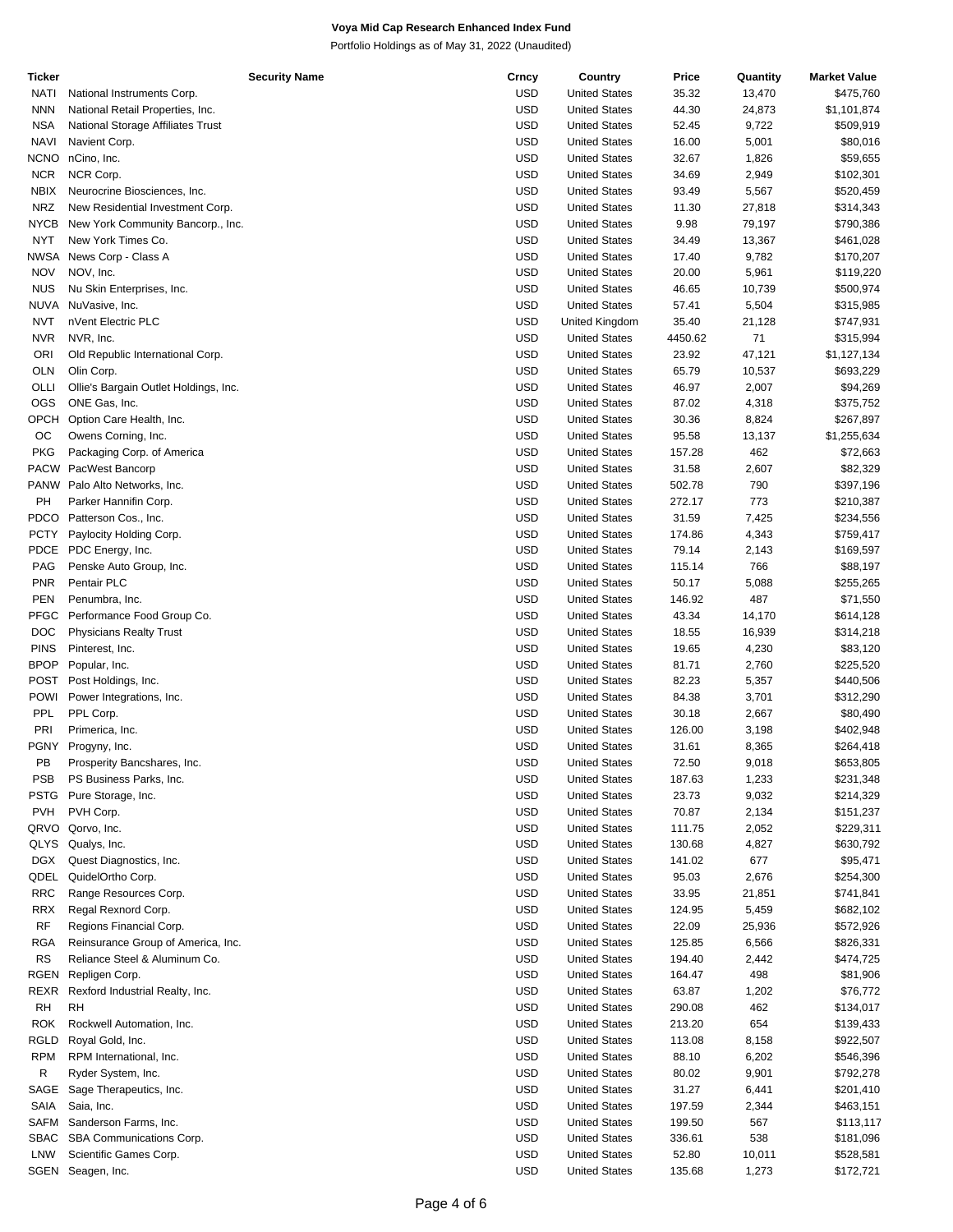| Ticker      | <b>Security Name</b>                  | Crncy      | Country              | Price   | Quantity | <b>Market Value</b> |
|-------------|---------------------------------------|------------|----------------------|---------|----------|---------------------|
| NATI        | National Instruments Corp.            | <b>USD</b> | <b>United States</b> | 35.32   | 13,470   | \$475,760           |
| <b>NNN</b>  | National Retail Properties, Inc.      | <b>USD</b> | <b>United States</b> | 44.30   | 24,873   | \$1,101,874         |
| <b>NSA</b>  | National Storage Affiliates Trust     | <b>USD</b> | <b>United States</b> | 52.45   | 9,722    | \$509,919           |
| <b>NAVI</b> | Navient Corp.                         | <b>USD</b> | <b>United States</b> | 16.00   | 5,001    | \$80,016            |
| <b>NCNO</b> | nCino, Inc.                           | <b>USD</b> | <b>United States</b> | 32.67   | 1,826    | \$59,655            |
|             |                                       |            |                      |         |          |                     |
| <b>NCR</b>  | NCR Corp.                             | <b>USD</b> | <b>United States</b> | 34.69   | 2,949    | \$102,301           |
| NBIX        | Neurocrine Biosciences, Inc.          | <b>USD</b> | <b>United States</b> | 93.49   | 5,567    | \$520,459           |
| <b>NRZ</b>  | New Residential Investment Corp.      | <b>USD</b> | <b>United States</b> | 11.30   | 27,818   | \$314,343           |
| <b>NYCB</b> | New York Community Bancorp., Inc.     | <b>USD</b> | <b>United States</b> | 9.98    | 79,197   | \$790,386           |
| <b>NYT</b>  | New York Times Co.                    | <b>USD</b> | <b>United States</b> | 34.49   | 13,367   | \$461,028           |
| NWSA        | News Corp - Class A                   | <b>USD</b> | <b>United States</b> | 17.40   | 9,782    | \$170,207           |
| <b>NOV</b>  | NOV, Inc.                             | <b>USD</b> | <b>United States</b> | 20.00   | 5,961    | \$119,220           |
|             |                                       |            |                      |         |          |                     |
| <b>NUS</b>  | Nu Skin Enterprises, Inc.             | <b>USD</b> | <b>United States</b> | 46.65   | 10,739   | \$500,974           |
| <b>NUVA</b> | NuVasive, Inc.                        | <b>USD</b> | <b>United States</b> | 57.41   | 5,504    | \$315,985           |
| <b>NVT</b>  | nVent Electric PLC                    | <b>USD</b> | United Kingdom       | 35.40   | 21,128   | \$747,931           |
| <b>NVR</b>  | NVR, Inc.                             | <b>USD</b> | <b>United States</b> | 4450.62 | 71       | \$315,994           |
| ORI         | Old Republic International Corp.      | <b>USD</b> | <b>United States</b> | 23.92   | 47,121   | \$1,127,134         |
| <b>OLN</b>  | Olin Corp.                            | <b>USD</b> | <b>United States</b> | 65.79   | 10,537   | \$693,229           |
| OLLI        | Ollie's Bargain Outlet Holdings, Inc. | <b>USD</b> | <b>United States</b> | 46.97   | 2,007    | \$94,269            |
| <b>OGS</b>  | ONE Gas, Inc.                         | <b>USD</b> | <b>United States</b> | 87.02   | 4,318    | \$375,752           |
|             |                                       | <b>USD</b> |                      |         |          |                     |
| OPCH        | Option Care Health, Inc.              |            | <b>United States</b> | 30.36   | 8,824    | \$267,897           |
| OС          | Owens Corning, Inc.                   | <b>USD</b> | <b>United States</b> | 95.58   | 13,137   | \$1,255,634         |
| <b>PKG</b>  | Packaging Corp. of America            | <b>USD</b> | <b>United States</b> | 157.28  | 462      | \$72,663            |
| PACW        | PacWest Bancorp                       | <b>USD</b> | <b>United States</b> | 31.58   | 2,607    | \$82,329            |
|             | PANW Palo Alto Networks, Inc.         | <b>USD</b> | <b>United States</b> | 502.78  | 790      | \$397,196           |
| PH          | Parker Hannifin Corp.                 | <b>USD</b> | <b>United States</b> | 272.17  | 773      | \$210,387           |
| <b>PDCO</b> | Patterson Cos., Inc.                  | <b>USD</b> | <b>United States</b> | 31.59   | 7,425    | \$234,556           |
| <b>PCTY</b> | Paylocity Holding Corp.               | <b>USD</b> | <b>United States</b> | 174.86  | 4,343    | \$759,417           |
|             |                                       |            |                      |         |          |                     |
| PDCE        | PDC Energy, Inc.                      | <b>USD</b> | <b>United States</b> | 79.14   | 2,143    | \$169,597           |
| PAG         | Penske Auto Group, Inc.               | <b>USD</b> | <b>United States</b> | 115.14  | 766      | \$88,197            |
| <b>PNR</b>  | Pentair PLC                           | <b>USD</b> | <b>United States</b> | 50.17   | 5,088    | \$255,265           |
| <b>PEN</b>  | Penumbra, Inc.                        | <b>USD</b> | <b>United States</b> | 146.92  | 487      | \$71,550            |
| <b>PFGC</b> | Performance Food Group Co.            | <b>USD</b> | <b>United States</b> | 43.34   | 14,170   | \$614,128           |
| <b>DOC</b>  | <b>Physicians Realty Trust</b>        | <b>USD</b> | <b>United States</b> | 18.55   | 16,939   | \$314,218           |
| <b>PINS</b> | Pinterest, Inc.                       | <b>USD</b> | <b>United States</b> | 19.65   | 4,230    | \$83,120            |
| <b>BPOP</b> | Popular, Inc.                         | <b>USD</b> | <b>United States</b> | 81.71   | 2,760    | \$225,520           |
|             |                                       |            |                      |         |          |                     |
|             | POST Post Holdings, Inc.              | <b>USD</b> | <b>United States</b> | 82.23   | 5,357    | \$440,506           |
| POWI        | Power Integrations, Inc.              | <b>USD</b> | <b>United States</b> | 84.38   | 3,701    | \$312,290           |
| PPL         | PPL Corp.                             | <b>USD</b> | <b>United States</b> | 30.18   | 2,667    | \$80,490            |
| PRI         | Primerica, Inc.                       | <b>USD</b> | <b>United States</b> | 126.00  | 3,198    | \$402,948           |
| <b>PGNY</b> | Progyny, Inc.                         | <b>USD</b> | <b>United States</b> | 31.61   | 8,365    | \$264,418           |
| PB          | Prosperity Bancshares, Inc.           | <b>USD</b> | <b>United States</b> | 72.50   | 9,018    | \$653,805           |
| <b>PSB</b>  | PS Business Parks, Inc.               | <b>USD</b> | <b>United States</b> | 187.63  | 1,233    | \$231,348           |
| PSTG        | Pure Storage, Inc.                    | <b>USD</b> | <b>United States</b> | 23.73   | 9,032    | \$214,329           |
| <b>PVH</b>  | PVH Corp.                             | <b>USD</b> |                      |         |          |                     |
|             |                                       |            | <b>United States</b> | 70.87   | 2,134    | \$151,237           |
| QRVO        | Qorvo, Inc.                           | <b>USD</b> | <b>United States</b> | 111.75  | 2,052    | \$229,311           |
| QLYS        | Qualys, Inc.                          | <b>USD</b> | <b>United States</b> | 130.68  | 4,827    | \$630,792           |
| DGX         | Quest Diagnostics, Inc.               | <b>USD</b> | <b>United States</b> | 141.02  | 677      | \$95,471            |
| QDEL        | QuidelOrtho Corp.                     | <b>USD</b> | <b>United States</b> | 95.03   | 2,676    | \$254,300           |
| <b>RRC</b>  | Range Resources Corp.                 | <b>USD</b> | <b>United States</b> | 33.95   | 21,851   | \$741,841           |
| RRX         | Regal Rexnord Corp.                   | <b>USD</b> | <b>United States</b> | 124.95  | 5,459    | \$682,102           |
| <b>RF</b>   | Regions Financial Corp.               | <b>USD</b> | <b>United States</b> | 22.09   | 25,936   | \$572,926           |
|             |                                       |            |                      |         |          |                     |
| RGA         | Reinsurance Group of America, Inc.    | <b>USD</b> | <b>United States</b> | 125.85  | 6,566    | \$826,331           |
| <b>RS</b>   | Reliance Steel & Aluminum Co.         | <b>USD</b> | <b>United States</b> | 194.40  | 2,442    | \$474,725           |
| RGEN        | Repligen Corp.                        | <b>USD</b> | <b>United States</b> | 164.47  | 498      | \$81,906            |
| REXR        | Rexford Industrial Realty, Inc.       | <b>USD</b> | <b>United States</b> | 63.87   | 1,202    | \$76,772            |
| <b>RH</b>   | <b>RH</b>                             | <b>USD</b> | <b>United States</b> | 290.08  | 462      | \$134,017           |
| <b>ROK</b>  | Rockwell Automation, Inc.             | <b>USD</b> | <b>United States</b> | 213.20  | 654      | \$139,433           |
| RGLD        | Royal Gold, Inc.                      | <b>USD</b> | <b>United States</b> | 113.08  | 8,158    | \$922,507           |
| RPM         | RPM International, Inc.               | <b>USD</b> | <b>United States</b> | 88.10   | 6,202    | \$546,396           |
|             |                                       |            |                      |         |          |                     |
| R           | Ryder System, Inc.                    | <b>USD</b> | <b>United States</b> | 80.02   | 9,901    | \$792,278           |
| SAGE        | Sage Therapeutics, Inc.               | <b>USD</b> | <b>United States</b> | 31.27   | 6,441    | \$201,410           |
| SAIA        | Saia, Inc.                            | <b>USD</b> | <b>United States</b> | 197.59  | 2,344    | \$463,151           |
| SAFM        | Sanderson Farms, Inc.                 | <b>USD</b> | <b>United States</b> | 199.50  | 567      | \$113,117           |
| <b>SBAC</b> | SBA Communications Corp.              | <b>USD</b> | <b>United States</b> | 336.61  | 538      | \$181,096           |
| LNW         | Scientific Games Corp.                | <b>USD</b> | <b>United States</b> | 52.80   | 10,011   | \$528,581           |
| SGEN        | Seagen, Inc.                          | <b>USD</b> | <b>United States</b> | 135.68  | 1,273    | \$172,721           |
|             |                                       |            |                      |         |          |                     |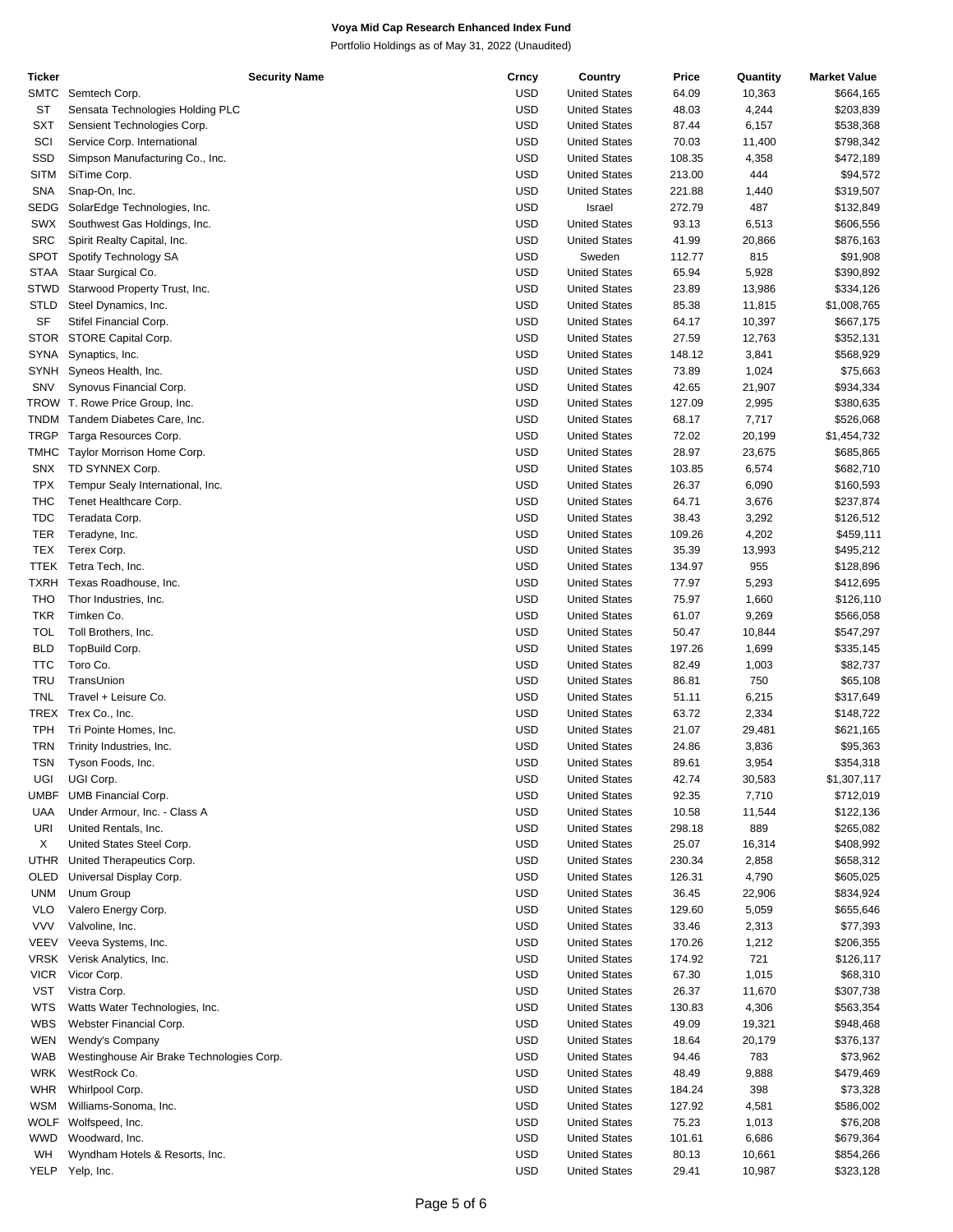| Ticker      | <b>Security Name</b>                      | Crncy      | Country              | Price  | Quantity | <b>Market Value</b> |
|-------------|-------------------------------------------|------------|----------------------|--------|----------|---------------------|
| SMTC        | Semtech Corp.                             | <b>USD</b> | <b>United States</b> | 64.09  | 10,363   | \$664,165           |
| ST          | Sensata Technologies Holding PLC          | <b>USD</b> | <b>United States</b> | 48.03  | 4,244    | \$203,839           |
| SXT         | Sensient Technologies Corp.               | <b>USD</b> | <b>United States</b> | 87.44  | 6,157    | \$538,368           |
| SCI         | Service Corp. International               | <b>USD</b> | <b>United States</b> | 70.03  | 11,400   | \$798,342           |
| SSD         | Simpson Manufacturing Co., Inc.           | <b>USD</b> | <b>United States</b> | 108.35 | 4,358    | \$472,189           |
| <b>SITM</b> | SiTime Corp.                              | <b>USD</b> | <b>United States</b> | 213.00 | 444      | \$94,572            |
| SNA         | Snap-On, Inc.                             | <b>USD</b> | <b>United States</b> | 221.88 | 1,440    | \$319,507           |
| SEDG        | SolarEdge Technologies, Inc.              | <b>USD</b> | Israel               | 272.79 | 487      | \$132,849           |
| SWX         |                                           | <b>USD</b> | <b>United States</b> | 93.13  |          |                     |
|             | Southwest Gas Holdings, Inc.              |            |                      |        | 6,513    | \$606,556           |
| <b>SRC</b>  | Spirit Realty Capital, Inc.               | <b>USD</b> | <b>United States</b> | 41.99  | 20,866   | \$876,163           |
| SPOT        | Spotify Technology SA                     | <b>USD</b> | Sweden               | 112.77 | 815      | \$91,908            |
| <b>STAA</b> | Staar Surgical Co.                        | <b>USD</b> | <b>United States</b> | 65.94  | 5,928    | \$390,892           |
| STWD        | Starwood Property Trust, Inc.             | <b>USD</b> | <b>United States</b> | 23.89  | 13,986   | \$334,126           |
| STLD        | Steel Dynamics, Inc.                      | <b>USD</b> | <b>United States</b> | 85.38  | 11,815   | \$1,008,765         |
| SF          | Stifel Financial Corp.                    | <b>USD</b> | <b>United States</b> | 64.17  | 10,397   | \$667,175           |
| STOR        | STORE Capital Corp.                       | <b>USD</b> | <b>United States</b> | 27.59  | 12,763   | \$352,131           |
| SYNA        | Synaptics, Inc.                           | <b>USD</b> | <b>United States</b> | 148.12 | 3,841    | \$568,929           |
| SYNH        | Syneos Health, Inc.                       | <b>USD</b> | <b>United States</b> | 73.89  | 1,024    | \$75,663            |
| SNV         | Synovus Financial Corp.                   | <b>USD</b> | <b>United States</b> | 42.65  | 21,907   | \$934,334           |
|             | TROW T. Rowe Price Group, Inc.            | <b>USD</b> | <b>United States</b> | 127.09 | 2,995    | \$380,635           |
| <b>TNDM</b> | Tandem Diabetes Care, Inc.                | <b>USD</b> | <b>United States</b> | 68.17  | 7,717    | \$526,068           |
| TRGP        | Targa Resources Corp.                     | <b>USD</b> | <b>United States</b> | 72.02  | 20,199   | \$1,454,732         |
|             | Taylor Morrison Home Corp.                | <b>USD</b> |                      |        |          |                     |
| TMHC        |                                           |            | <b>United States</b> | 28.97  | 23,675   | \$685,865           |
| <b>SNX</b>  | TD SYNNEX Corp.                           | <b>USD</b> | <b>United States</b> | 103.85 | 6,574    | \$682,710           |
| <b>TPX</b>  | Tempur Sealy International, Inc.          | <b>USD</b> | <b>United States</b> | 26.37  | 6,090    | \$160,593           |
| THC         | Tenet Healthcare Corp.                    | <b>USD</b> | <b>United States</b> | 64.71  | 3,676    | \$237,874           |
| <b>TDC</b>  | Teradata Corp.                            | <b>USD</b> | <b>United States</b> | 38.43  | 3,292    | \$126,512           |
| <b>TER</b>  | Teradyne, Inc.                            | <b>USD</b> | <b>United States</b> | 109.26 | 4,202    | \$459,111           |
| <b>TEX</b>  | Terex Corp.                               | <b>USD</b> | <b>United States</b> | 35.39  | 13,993   | \$495,212           |
| TTEK        | Tetra Tech, Inc.                          | <b>USD</b> | <b>United States</b> | 134.97 | 955      | \$128,896           |
| TXRH        | Texas Roadhouse, Inc.                     | <b>USD</b> | <b>United States</b> | 77.97  | 5,293    | \$412,695           |
| <b>THO</b>  | Thor Industries, Inc.                     | <b>USD</b> | <b>United States</b> | 75.97  | 1,660    | \$126,110           |
| <b>TKR</b>  | Timken Co.                                | <b>USD</b> | <b>United States</b> | 61.07  | 9,269    | \$566,058           |
| <b>TOL</b>  | Toll Brothers, Inc.                       | <b>USD</b> | <b>United States</b> | 50.47  | 10,844   | \$547,297           |
| <b>BLD</b>  | TopBuild Corp.                            | <b>USD</b> | <b>United States</b> | 197.26 | 1,699    | \$335,145           |
| <b>TTC</b>  | Toro Co.                                  | <b>USD</b> | <b>United States</b> | 82.49  |          | \$82,737            |
|             |                                           |            |                      |        | 1,003    |                     |
| TRU         | TransUnion                                | <b>USD</b> | <b>United States</b> | 86.81  | 750      | \$65,108            |
| <b>TNL</b>  | Travel + Leisure Co.                      | <b>USD</b> | <b>United States</b> | 51.11  | 6,215    | \$317,649           |
|             | TREX Trex Co., Inc.                       | <b>USD</b> | <b>United States</b> | 63.72  | 2,334    | \$148,722           |
| <b>TPH</b>  | Tri Pointe Homes, Inc.                    | <b>USD</b> | <b>United States</b> | 21.07  | 29,481   | \$621,165           |
| <b>TRN</b>  | Trinity Industries, Inc.                  | <b>USD</b> | <b>United States</b> | 24.86  | 3,836    | \$95,363            |
| <b>TSN</b>  | Tyson Foods, Inc.                         | <b>USD</b> | <b>United States</b> | 89.61  | 3,954    | \$354,318           |
| UGI         | UGI Corp.                                 | <b>USD</b> | <b>United States</b> | 42.74  | 30,583   | \$1,307,117         |
|             | UMBF UMB Financial Corp.                  | <b>USD</b> | <b>United States</b> | 92.35  | 7,710    | \$712,019           |
| UAA         | Under Armour, Inc. - Class A              | <b>USD</b> | <b>United States</b> | 10.58  | 11,544   | \$122,136           |
| URI         | United Rentals, Inc.                      | <b>USD</b> | <b>United States</b> | 298.18 | 889      | \$265,082           |
| Χ           | United States Steel Corp.                 | <b>USD</b> | <b>United States</b> | 25.07  | 16,314   | \$408,992           |
| UTHR        | United Therapeutics Corp.                 | <b>USD</b> | <b>United States</b> | 230.34 | 2,858    | \$658,312           |
|             |                                           |            |                      |        |          |                     |
| OLED        | Universal Display Corp.                   | <b>USD</b> | <b>United States</b> | 126.31 | 4,790    | \$605,025           |
| <b>UNM</b>  | Unum Group                                | <b>USD</b> | <b>United States</b> | 36.45  | 22,906   | \$834,924           |
| <b>VLO</b>  | Valero Energy Corp.                       | <b>USD</b> | <b>United States</b> | 129.60 | 5,059    | \$655,646           |
| <b>VVV</b>  | Valvoline, Inc.                           | <b>USD</b> | <b>United States</b> | 33.46  | 2,313    | \$77,393            |
| VEEV        | Veeva Systems, Inc.                       | <b>USD</b> | <b>United States</b> | 170.26 | 1,212    | \$206,355           |
|             | VRSK Verisk Analytics, Inc.               | <b>USD</b> | <b>United States</b> | 174.92 | 721      | \$126,117           |
| <b>VICR</b> | Vicor Corp.                               | <b>USD</b> | <b>United States</b> | 67.30  | 1,015    | \$68,310            |
| VST         | Vistra Corp.                              | <b>USD</b> | <b>United States</b> | 26.37  | 11,670   | \$307,738           |
| WTS         | Watts Water Technologies, Inc.            | <b>USD</b> | <b>United States</b> | 130.83 | 4,306    | \$563,354           |
| WBS         | Webster Financial Corp.                   | <b>USD</b> | <b>United States</b> | 49.09  | 19,321   | \$948,468           |
| WEN         | Wendy's Company                           | <b>USD</b> | <b>United States</b> | 18.64  | 20,179   | \$376,137           |
| WAB         | Westinghouse Air Brake Technologies Corp. | <b>USD</b> | <b>United States</b> | 94.46  | 783      | \$73,962            |
|             |                                           |            |                      |        |          |                     |
| <b>WRK</b>  | WestRock Co.                              | <b>USD</b> | <b>United States</b> | 48.49  | 9,888    | \$479,469           |
| <b>WHR</b>  | Whirlpool Corp.                           | <b>USD</b> | <b>United States</b> | 184.24 | 398      | \$73,328            |
| WSM         | Williams-Sonoma, Inc.                     | <b>USD</b> | <b>United States</b> | 127.92 | 4,581    | \$586,002           |
| WOLF        | Wolfspeed, Inc.                           | <b>USD</b> | <b>United States</b> | 75.23  | 1,013    | \$76,208            |
| <b>WWD</b>  | Woodward, Inc.                            | <b>USD</b> | <b>United States</b> | 101.61 | 6,686    | \$679,364           |
| WH          | Wyndham Hotels & Resorts, Inc.            | <b>USD</b> | <b>United States</b> | 80.13  | 10,661   | \$854,266           |
|             | YELP Yelp, Inc.                           | <b>USD</b> | <b>United States</b> | 29.41  | 10,987   | \$323,128           |